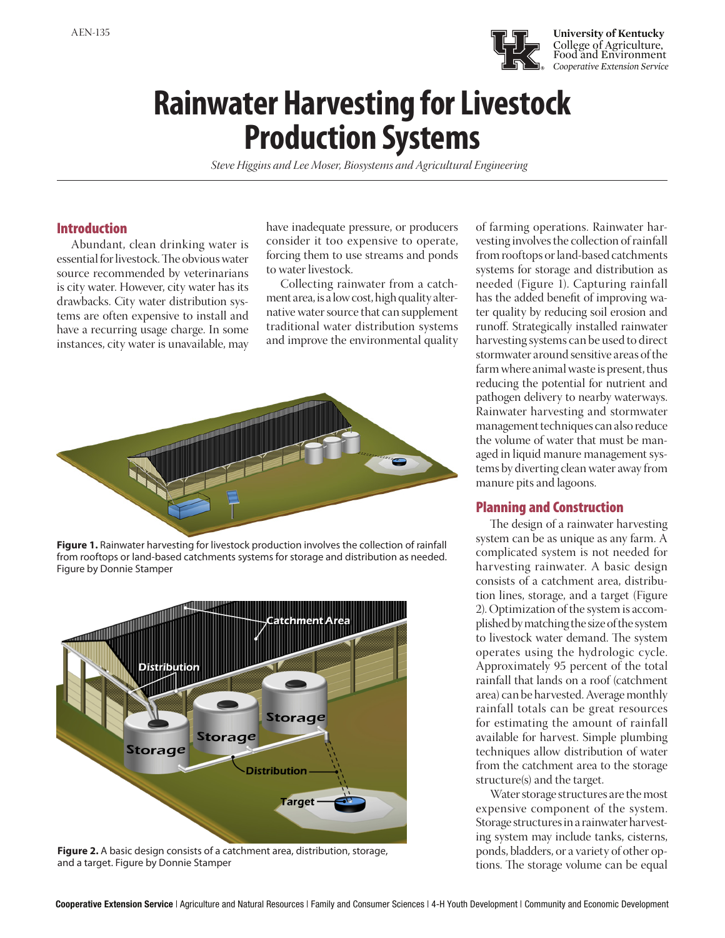

# **Rainwater Harvesting for Livestock Production Systems**

*Steve Higgins and Lee Moser, Biosystems and Agricultural Engineering*

## Introduction

Abundant, clean drinking water is essential for livestock. The obvious water source recommended by veterinarians is city water. However, city water has its drawbacks. City water distribution systems are often expensive to install and have a recurring usage charge. In some instances, city water is unavailable, may

have inadequate pressure, or producers consider it too expensive to operate, forcing them to use streams and ponds to water livestock.

Collecting rainwater from a catchment area, is a low cost, high quality alternative water source that can supplement traditional water distribution systems and improve the environmental quality



Figure 1. Rainwater harvesting for livestock production involves the collection of rainfall from rooftops or land-based catchments systems for storage and distribution as needed. Figure by Donnie Stamper



**Figure 2.** A basic design consists of a catchment area, distribution, storage, and a target. Figure by Donnie Stamper

of farming operations. Rainwater harvesting involves the collection of rainfall from rooftops or land-based catchments systems for storage and distribution as needed (Figure 1). Capturing rainfall has the added benefit of improving water quality by reducing soil erosion and runoff. Strategically installed rainwater harvesting systems can be used to direct stormwater around sensitive areas of the farm where animal waste is present, thus reducing the potential for nutrient and pathogen delivery to nearby waterways. Rainwater harvesting and stormwater management techniques can also reduce the volume of water that must be managed in liquid manure management systems by diverting clean water away from manure pits and lagoons.

# Planning and Construction

The design of a rainwater harvesting system can be as unique as any farm. A complicated system is not needed for harvesting rainwater. A basic design consists of a catchment area, distribution lines, storage, and a target (Figure 2). Optimization of the system is accomplished by matching the size of the system to livestock water demand. The system operates using the hydrologic cycle. Approximately 95 percent of the total rainfall that lands on a roof (catchment area) can be harvested. Average monthly rainfall totals can be great resources for estimating the amount of rainfall available for harvest. Simple plumbing techniques allow distribution of water from the catchment area to the storage structure(s) and the target.

Water storage structures are the most expensive component of the system. Storage structures in a rainwater harvesting system may include tanks, cisterns, ponds, bladders, or a variety of other options. The storage volume can be equal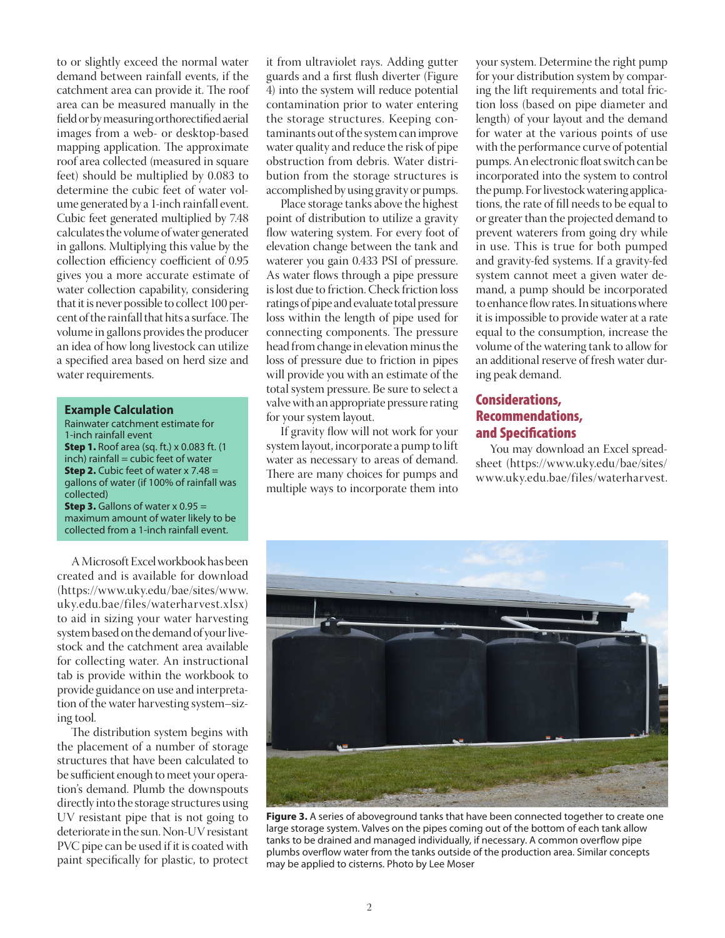to or slightly exceed the normal water demand between rainfall events, if the catchment area can provide it. The roof area can be measured manually in the field or by measuring orthorectified aerial images from a web- or desktop-based mapping application. The approximate roof area collected (measured in square feet) should be multiplied by 0.083 to determine the cubic feet of water volume generated by a 1-inch rainfall event. Cubic feet generated multiplied by 7.48 calculates the volume of water generated in gallons. Multiplying this value by the collection efficiency coefficient of 0.95 gives you a more accurate estimate of water collection capability, considering that it is never possible to collect 100 percent of the rainfall that hits a surface. The volume in gallons provides the producer an idea of how long livestock can utilize a specified area based on herd size and water requirements.

#### **Example Calculation**

Rainwater catchment estimate for 1-inch rainfall event **Step 1.** Roof area (sq. ft.) x 0.083 ft. (1  $inch)$  rainfall = cubic feet of water **Step 2.** Cubic feet of water  $x$  7.48 = gallons of water (if 100% of rainfall was collected) **Step 3.** Gallons of water  $x$  0.95 = maximum amount of water likely to be collected from a 1-inch rainfall event.

A Microsoft Excel workbook has been created and is available for download (https://www.uky.edu/bae/sites/www. uky.edu.bae/files/waterharvest.xlsx) to aid in sizing your water harvesting system based on the demand of your livestock and the catchment area available for collecting water. An instructional tab is provide within the workbook to provide guidance on use and interpretation of the water harvesting system–sizing tool.

The distribution system begins with the placement of a number of storage structures that have been calculated to be sufficient enough to meet your operation's demand. Plumb the downspouts directly into the storage structures using UV resistant pipe that is not going to deteriorate in the sun. Non-UV resistant PVC pipe can be used if it is coated with paint specifically for plastic, to protect it from ultraviolet rays. Adding gutter guards and a first flush diverter (Figure 4) into the system will reduce potential contamination prior to water entering the storage structures. Keeping contaminants out of the system can improve water quality and reduce the risk of pipe obstruction from debris. Water distribution from the storage structures is accomplished by using gravity or pumps.

Place storage tanks above the highest point of distribution to utilize a gravity flow watering system. For every foot of elevation change between the tank and waterer you gain 0.433 PSI of pressure. As water flows through a pipe pressure is lost due to friction. Check friction loss ratings of pipe and evaluate total pressure loss within the length of pipe used for connecting components. The pressure head from change in elevation minus the loss of pressure due to friction in pipes will provide you with an estimate of the total system pressure. Be sure to select a valve with an appropriate pressure rating for your system layout.

If gravity flow will not work for your system layout, incorporate a pump to lift water as necessary to areas of demand. There are many choices for pumps and multiple ways to incorporate them into

your system. Determine the right pump for your distribution system by comparing the lift requirements and total friction loss (based on pipe diameter and length) of your layout and the demand for water at the various points of use with the performance curve of potential pumps. An electronic float switch can be incorporated into the system to control the pump. For livestock watering applications, the rate of fill needs to be equal to or greater than the projected demand to prevent waterers from going dry while in use. This is true for both pumped and gravity-fed systems. If a gravity-fed system cannot meet a given water demand, a pump should be incorporated to enhance flow rates. In situations where it is impossible to provide water at a rate equal to the consumption, increase the volume of the watering tank to allow for an additional reserve of fresh water during peak demand.

# Considerations, Recommendations, and Specifications

You may download an Excel spreadsheet ([https://www.uky.edu/bae/sites/](https://www.uky.edu/bae/sites/www.uky.edu.bae/files/waterharvest.xlsx) [www.uky.edu.bae/files/waterharvest.](https://www.uky.edu/bae/sites/www.uky.edu.bae/files/waterharvest.xlsx)



**Figure 3.** A series of aboveground tanks that have been connected together to create one large storage system. Valves on the pipes coming out of the bottom of each tank allow tanks to be drained and managed individually, if necessary. A common overflow pipe plumbs overflow water from the tanks outside of the production area. Similar concepts may be applied to cisterns. Photo by Lee Moser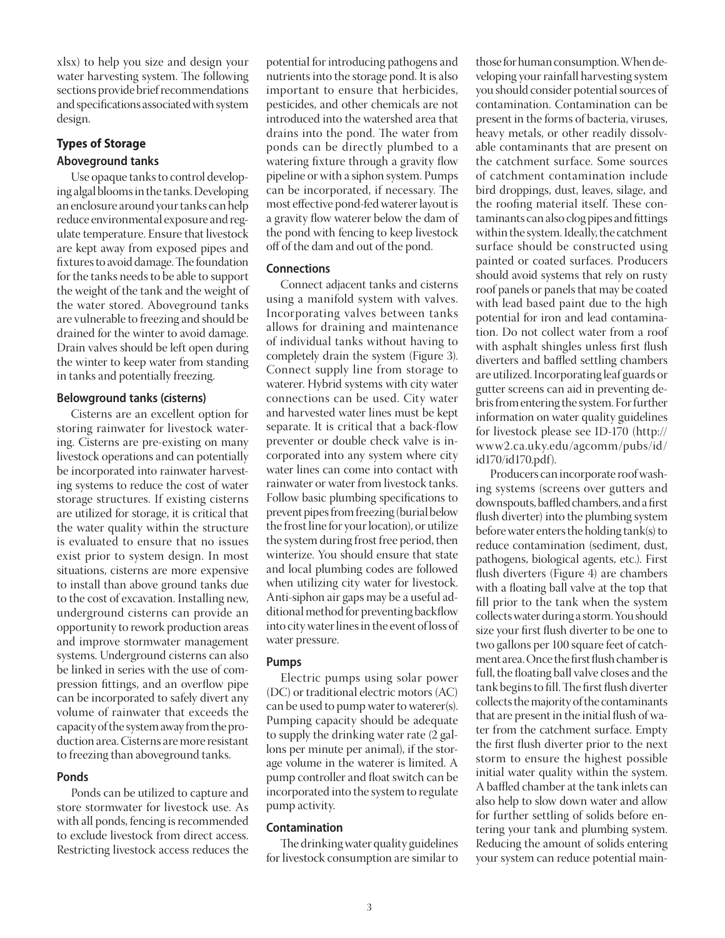[xlsx\)](https://www.uky.edu/bae/sites/www.uky.edu.bae/files/waterharvest.xlsx) to help you size and design your water harvesting system. The following sections provide brief recommendations and specifications associated with system design.

## **Types of Storage Aboveground tanks**

Use opaque tanks to control developing algal blooms in the tanks. Developing an enclosure around your tanks can help reduce environmental exposure and regulate temperature. Ensure that livestock are kept away from exposed pipes and fixtures to avoid damage. The foundation for the tanks needs to be able to support the weight of the tank and the weight of the water stored. Aboveground tanks are vulnerable to freezing and should be drained for the winter to avoid damage. Drain valves should be left open during the winter to keep water from standing in tanks and potentially freezing.

## **Belowground tanks (cisterns)**

Cisterns are an excellent option for storing rainwater for livestock watering. Cisterns are pre-existing on many livestock operations and can potentially be incorporated into rainwater harvesting systems to reduce the cost of water storage structures. If existing cisterns are utilized for storage, it is critical that the water quality within the structure is evaluated to ensure that no issues exist prior to system design. In most situations, cisterns are more expensive to install than above ground tanks due to the cost of excavation. Installing new, underground cisterns can provide an opportunity to rework production areas and improve stormwater management systems. Underground cisterns can also be linked in series with the use of compression fittings, and an overflow pipe can be incorporated to safely divert any volume of rainwater that exceeds the capacity of the system away from the production area. Cisterns are more resistant to freezing than aboveground tanks.

## **Ponds**

Ponds can be utilized to capture and store stormwater for livestock use. As with all ponds, fencing is recommended to exclude livestock from direct access. Restricting livestock access reduces the

potential for introducing pathogens and nutrients into the storage pond. It is also important to ensure that herbicides, pesticides, and other chemicals are not introduced into the watershed area that drains into the pond. The water from ponds can be directly plumbed to a watering fixture through a gravity flow pipeline or with a siphon system. Pumps can be incorporated, if necessary. The most effective pond-fed waterer layout is a gravity flow waterer below the dam of the pond with fencing to keep livestock off of the dam and out of the pond.

## **Connections**

Connect adjacent tanks and cisterns using a manifold system with valves. Incorporating valves between tanks allows for draining and maintenance of individual tanks without having to completely drain the system (Figure 3). Connect supply line from storage to waterer. Hybrid systems with city water connections can be used. City water and harvested water lines must be kept separate. It is critical that a back-flow preventer or double check valve is incorporated into any system where city water lines can come into contact with rainwater or water from livestock tanks. Follow basic plumbing specifications to prevent pipes from freezing (burial below the frost line for your location), or utilize the system during frost free period, then winterize. You should ensure that state and local plumbing codes are followed when utilizing city water for livestock. Anti-siphon air gaps may be a useful additional method for preventing backflow into city water lines in the event of loss of water pressure.

## **Pumps**

Electric pumps using solar power (DC) or traditional electric motors (AC) can be used to pump water to waterer(s). Pumping capacity should be adequate to supply the drinking water rate (2 gallons per minute per animal), if the storage volume in the waterer is limited. A pump controller and float switch can be incorporated into the system to regulate pump activity.

## **Contamination**

The drinking water quality guidelines for livestock consumption are similar to those for human consumption. When developing your rainfall harvesting system you should consider potential sources of contamination. Contamination can be present in the forms of bacteria, viruses, heavy metals, or other readily dissolvable contaminants that are present on the catchment surface. Some sources of catchment contamination include bird droppings, dust, leaves, silage, and the roofing material itself. These contaminants can also clog pipes and fittings within the system. Ideally, the catchment surface should be constructed using painted or coated surfaces. Producers should avoid systems that rely on rusty roof panels or panels that may be coated with lead based paint due to the high potential for iron and lead contamination. Do not collect water from a roof with asphalt shingles unless first flush diverters and baffled settling chambers are utilized. Incorporating leaf guards or gutter screens can aid in preventing debris from entering the system. For further information on water quality guidelines for livestock please see ID-170 (http:// www2.ca.uky.edu/agcomm/pubs/id/ id170/id170.pdf).

Producers can incorporate roof washing systems (screens over gutters and downspouts, baffled chambers, and a first flush diverter) into the plumbing system before water enters the holding tank(s) to reduce contamination (sediment, dust, pathogens, biological agents, etc.). First flush diverters (Figure 4) are chambers with a floating ball valve at the top that fill prior to the tank when the system collects water during a storm. You should size your first flush diverter to be one to two gallons per 100 square feet of catchment area. Once the first flush chamber is full, the floating ball valve closes and the tank begins to fill. The first flush diverter collects the majority of the contaminants that are present in the initial flush of water from the catchment surface. Empty the first flush diverter prior to the next storm to ensure the highest possible initial water quality within the system. A baffled chamber at the tank inlets can also help to slow down water and allow for further settling of solids before entering your tank and plumbing system. Reducing the amount of solids entering your system can reduce potential main-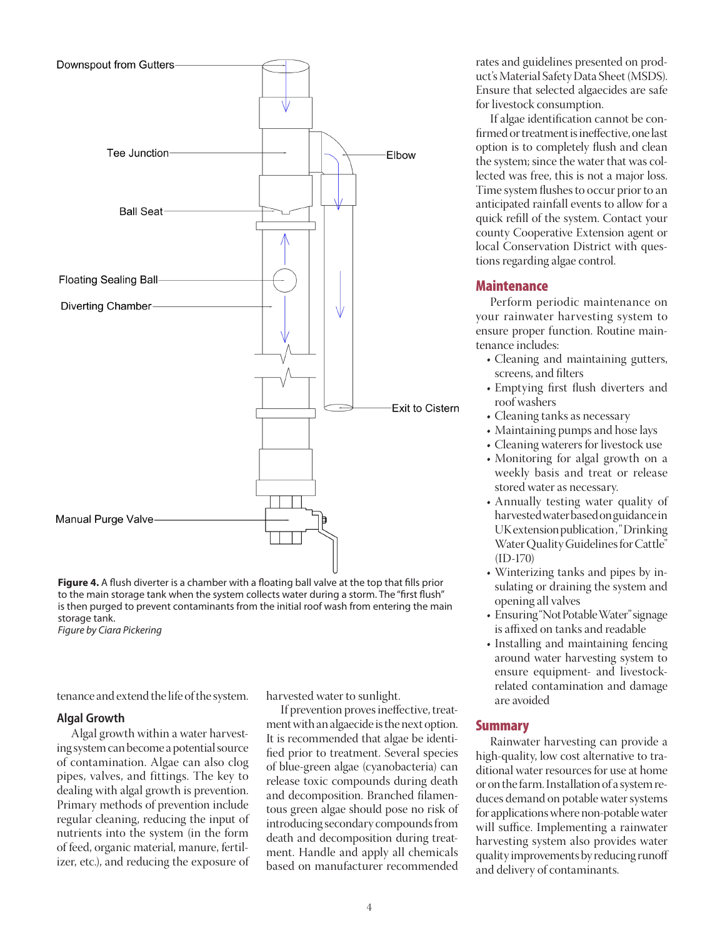

**Figure 4.** A flush diverter is a chamber with a floating ball valve at the top that fills prior to the main storage tank when the system collects water during a storm. The "first flush" is then purged to prevent contaminants from the initial roof wash from entering the main storage tank.

*Figure by Ciara Pickering*

tenance and extend the life of the system.

#### **Algal Growth**

Algal growth within a water harvesting system can become a potential source of contamination. Algae can also clog pipes, valves, and fittings. The key to dealing with algal growth is prevention. Primary methods of prevention include regular cleaning, reducing the input of nutrients into the system (in the form of feed, organic material, manure, fertilizer, etc.), and reducing the exposure of harvested water to sunlight.

If prevention proves ineffective, treatment with an algaecide is the next option. It is recommended that algae be identified prior to treatment. Several species of blue-green algae (cyanobacteria) can release toxic compounds during death and decomposition. Branched filamentous green algae should pose no risk of introducing secondary compounds from death and decomposition during treatment. Handle and apply all chemicals based on manufacturer recommended

rates and guidelines presented on product's Material Safety Data Sheet (MSDS). Ensure that selected algaecides are safe for livestock consumption.

If algae identification cannot be confirmed or treatment is ineffective, one last option is to completely flush and clean the system; since the water that was collected was free, this is not a major loss. Time system flushes to occur prior to an anticipated rainfall events to allow for a quick refill of the system. Contact your county Cooperative Extension agent or local Conservation District with questions regarding algae control.

## **Maintenance**

Perform periodic maintenance on your rainwater harvesting system to ensure proper function. Routine maintenance includes:

- Cleaning and maintaining gutters, screens, and filters
- Emptying first flush diverters and roof washers
- Cleaning tanks as necessary
- Maintaining pumps and hose lays
- Cleaning waterers for livestock use
- Monitoring for algal growth on a weekly basis and treat or release stored water as necessary.
- Annually testing water quality of harvested water based on guidance in UK extension publication, "Drinking Water Quality Guidelines for Cattle" (ID-170)
- Winterizing tanks and pipes by insulating or draining the system and opening all valves
- Ensuring "Not Potable Water" signage is affixed on tanks and readable
- Installing and maintaining fencing around water harvesting system to ensure equipment- and livestockrelated contamination and damage are avoided

## Summary

Rainwater harvesting can provide a high-quality, low cost alternative to traditional water resources for use at home or on the farm. Installation of a system reduces demand on potable water systems for applications where non-potable water will suffice. Implementing a rainwater harvesting system also provides water quality improvements by reducing runoff and delivery of contaminants.